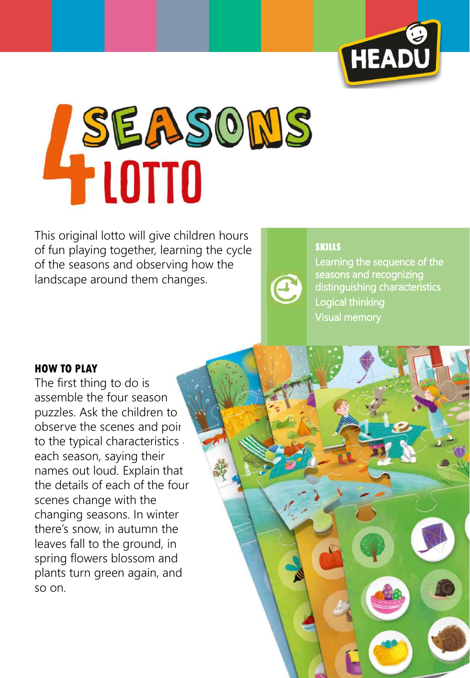

# **ASEASONS**

This original lotto will give children hours of fun playing together, learning the cycle of the seasons and observing how the landscape around them changes.



## **SKILLS**

Learning the sequence of the seasons and recognizing distinguishing characteristics Logical thinking Visual memory

### **HOW TO PLAY**

The first thing to do is assemble the four season puzzles. Ask the children to observe the scenes and poir to the typical characteristics each season, saying their names out loud. Explain that the details of each of the four scenes change with the changing seasons. In winter there's snow, in autumn the leaves fall to the ground, in spring flowers blossom and plants turn green again, and so on.